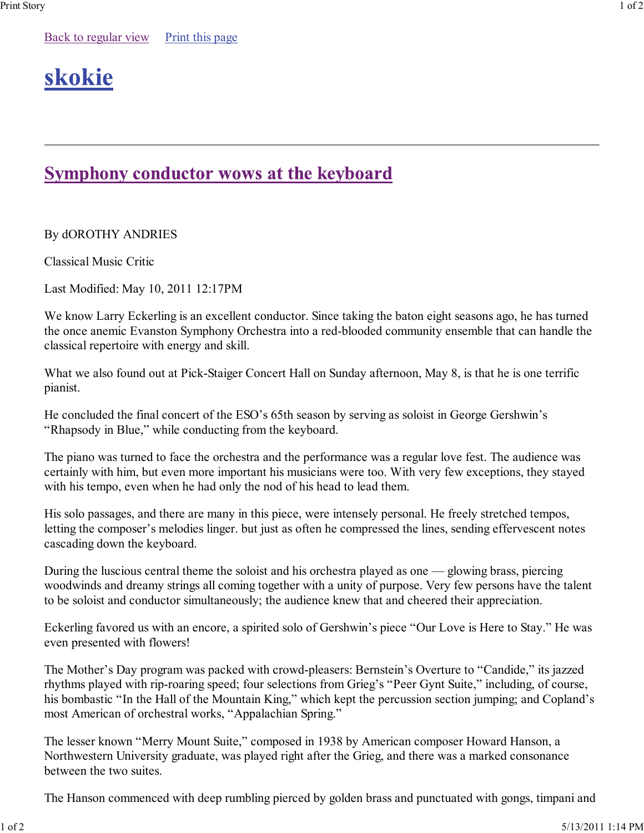## **Symphony conductor wows at the keyboard**

By dOROTHY ANDRIES

Classical Music Critic

Last Modified: May 10, 2011 12:17PM

We know Larry Eckerling is an excellent conductor. Since taking the baton eight seasons ago, he has turned the once anemic Evanston Symphony Orchestra into a red-blooded community ensemble that can handle the classical repertoire with energy and skill.

What we also found out at Pick-Staiger Concert Hall on Sunday afternoon, May 8, is that he is one terrific pianist.

He concluded the final concert of the ESO's 65th season by serving as soloist in George Gershwin's "Rhapsody in Blue," while conducting from the keyboard.

The piano was turned to face the orchestra and the performance was a regular love fest. The audience was certainly with him, but even more important his musicians were too. With very few exceptions, they stayed with his tempo, even when he had only the nod of his head to lead them.

His solo passages, and there are many in this piece, were intensely personal. He freely stretched tempos, letting the composer's melodies linger. but just as often he compressed the lines, sending effervescent notes cascading down the keyboard.

During the luscious central theme the soloist and his orchestra played as one — glowing brass, piercing woodwinds and dreamy strings all coming together with a unity of purpose. Very few persons have the talent to be soloist and conductor simultaneously; the audience knew that and cheered their appreciation.

Eckerling favored us with an encore, a spirited solo of Gershwin's piece "Our Love is Here to Stay." He was even presented with flowers!

The Mother's Day program was packed with crowd-pleasers: Bernstein's Overture to "Candide," its jazzed rhythms played with rip-roaring speed; four selections from Grieg's "Peer Gynt Suite," including, of course, his bombastic "In the Hall of the Mountain King," which kept the percussion section jumping; and Copland's most American of orchestral works, "Appalachian Spring."

The lesser known "Merry Mount Suite," composed in 1938 by American composer Howard Hanson, a Northwestern University graduate, was played right after the Grieg, and there was a marked consonance between the two suites.

The Hanson commenced with deep rumbling pierced by golden brass and punctuated with gongs, timpani and